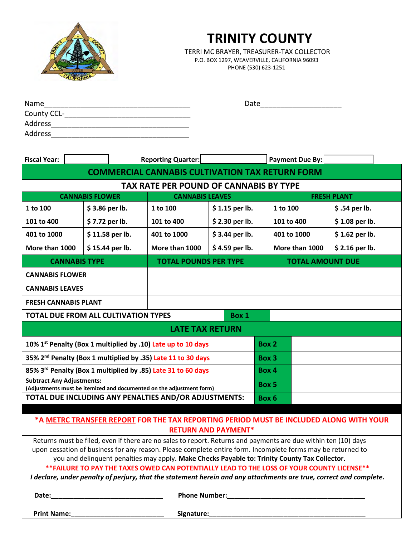

# **TRINITY COUNTY**

 TERRI MC BRAYER, TREASURER-TAX COLLECTOR P.O. BOX 1297, WEAVERVILLE, CALIFORNIA 96093 PHONE (530) 623-1251

| Name        | Date |
|-------------|------|
| County CCL- |      |
| Address     |      |
| Address     |      |

| <b>Fiscal Year:</b>                                                                                                                                                                        |                                                  | <b>Reporting Quarter:</b> |                              |                 |  | Payment Due By:         |                 |  |  |  |
|--------------------------------------------------------------------------------------------------------------------------------------------------------------------------------------------|--------------------------------------------------|---------------------------|------------------------------|-----------------|--|-------------------------|-----------------|--|--|--|
| <b>COMMERCIAL CANNABIS CULTIVATION TAX RETURN FORM</b>                                                                                                                                     |                                                  |                           |                              |                 |  |                         |                 |  |  |  |
| <b>TAX RATE PER POUND OF CANNABIS BY TYPE</b>                                                                                                                                              |                                                  |                           |                              |                 |  |                         |                 |  |  |  |
|                                                                                                                                                                                            | <b>CANNABIS FLOWER</b><br><b>CANNABIS LEAVES</b> |                           |                              |                 |  | <b>FRESH PLANT</b>      |                 |  |  |  |
| 1 to 100                                                                                                                                                                                   | \$3.86 per lb.                                   |                           | 1 to 100                     | \$1.15 per lb.  |  | 1 to 100                | \$.54 per lb.   |  |  |  |
| 101 to 400                                                                                                                                                                                 | \$7.72 per lb.                                   |                           | 101 to 400                   | \$2.30 per lb.  |  | 101 to 400              | \$1.08 per lb.  |  |  |  |
| 401 to 1000                                                                                                                                                                                | $$11.58$ per lb.                                 |                           | 401 to 1000                  | $$3.44$ per lb. |  | 401 to 1000             | $$1.62$ per lb. |  |  |  |
| More than 1000                                                                                                                                                                             | \$15.44 per lb.                                  |                           | More than 1000               | $$4.59$ per lb. |  | More than 1000          | $$2.16$ per lb. |  |  |  |
| <b>CANNABIS TYPE</b>                                                                                                                                                                       |                                                  |                           | <b>TOTAL POUNDS PER TYPE</b> |                 |  | <b>TOTAL AMOUNT DUE</b> |                 |  |  |  |
| <b>CANNABIS FLOWER</b>                                                                                                                                                                     |                                                  |                           |                              |                 |  |                         |                 |  |  |  |
| <b>CANNABIS LEAVES</b>                                                                                                                                                                     |                                                  |                           |                              |                 |  |                         |                 |  |  |  |
| <b>FRESH CANNABIS PLANT</b>                                                                                                                                                                |                                                  |                           |                              |                 |  |                         |                 |  |  |  |
| <b>TOTAL DUE FROM ALL CULTIVATION TYPES</b><br>Box 1                                                                                                                                       |                                                  |                           |                              |                 |  |                         |                 |  |  |  |
| <b>LATE TAX RETURN</b>                                                                                                                                                                     |                                                  |                           |                              |                 |  |                         |                 |  |  |  |
| 10% 1 <sup>st</sup> Penalty (Box 1 multiplied by .10) Late up to 10 days                                                                                                                   |                                                  |                           |                              | Box 2           |  |                         |                 |  |  |  |
| 35% 2 <sup>nd</sup> Penalty (Box 1 multiplied by .35) Late 11 to 30 days                                                                                                                   |                                                  |                           | Box 3                        |                 |  |                         |                 |  |  |  |
| 85% 3rd Penalty (Box 1 multiplied by .85) Late 31 to 60 days                                                                                                                               |                                                  |                           | Box 4                        |                 |  |                         |                 |  |  |  |
| <b>Subtract Any Adjustments:</b><br>(Adjustments must be itemized and documented on the adjustment form)                                                                                   |                                                  |                           |                              | Box 5           |  |                         |                 |  |  |  |
| TOTAL DUE INCLUDING ANY PENALTIES AND/OR ADJUSTMENTS:                                                                                                                                      |                                                  |                           | Box 6                        |                 |  |                         |                 |  |  |  |
|                                                                                                                                                                                            |                                                  |                           |                              |                 |  |                         |                 |  |  |  |
| *A METRC TRANSFER REPORT FOR THE TAX REPORTING PERIOD MUST BE INCLUDED ALONG WITH YOUR<br><b>RETURN AND PAYMENT*</b>                                                                       |                                                  |                           |                              |                 |  |                         |                 |  |  |  |
| Returns must be filed, even if there are no sales to report. Returns and payments are due within ten (10) days                                                                             |                                                  |                           |                              |                 |  |                         |                 |  |  |  |
| upon cessation of business for any reason. Please complete entire form. Incomplete forms may be returned to                                                                                |                                                  |                           |                              |                 |  |                         |                 |  |  |  |
| you and delinquent penalties may apply. Make Checks Payable to: Trinity County Tax Collector.<br>**FAILURE TO PAY THE TAXES OWED CAN POTENTIALLY LEAD TO THE LOSS OF YOUR COUNTY LICENSE** |                                                  |                           |                              |                 |  |                         |                 |  |  |  |
| I declare, under penalty of perjury, that the statement herein and any attachments are true, correct and complete.                                                                         |                                                  |                           |                              |                 |  |                         |                 |  |  |  |
|                                                                                                                                                                                            |                                                  |                           |                              |                 |  |                         |                 |  |  |  |
|                                                                                                                                                                                            |                                                  |                           |                              |                 |  |                         |                 |  |  |  |
|                                                                                                                                                                                            |                                                  |                           |                              |                 |  |                         |                 |  |  |  |